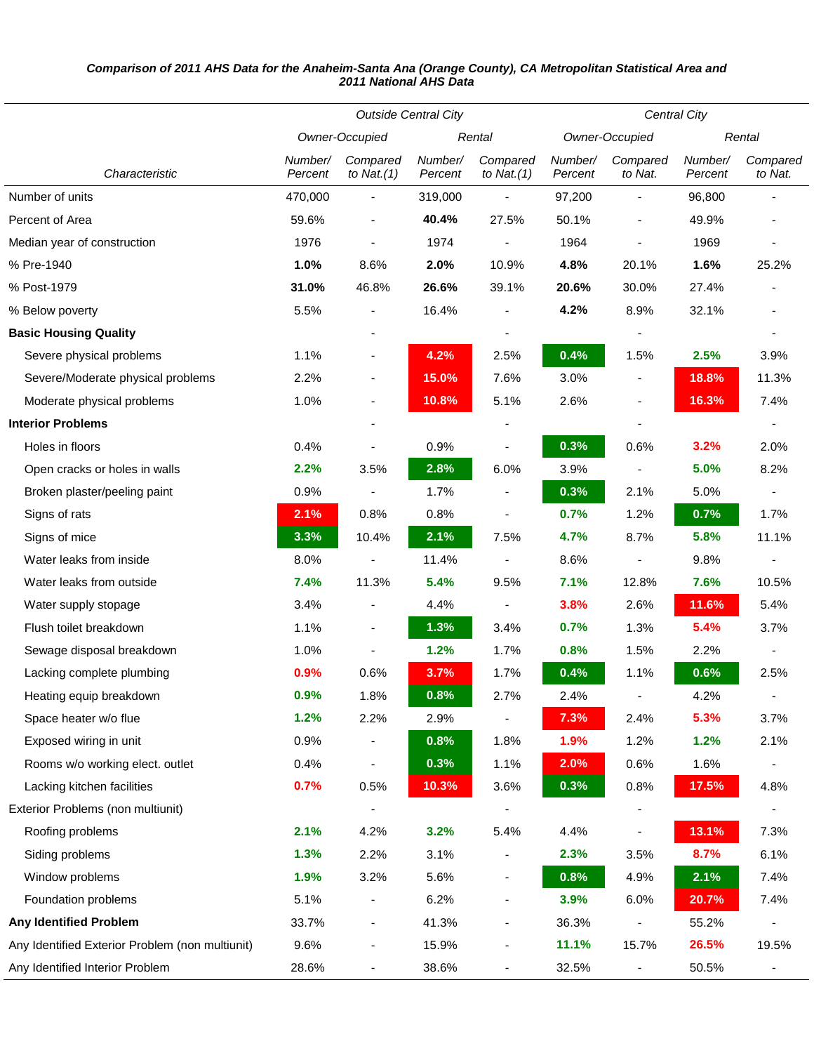## *Comparison of 2011 AHS Data for the Anaheim-Santa Ana (Orange County), CA Metropolitan Statistical Area and 2011 National AHS Data*

|                                                 | <b>Outside Central City</b> |                           |                    |                           | Central City       |                              |                    |                     |
|-------------------------------------------------|-----------------------------|---------------------------|--------------------|---------------------------|--------------------|------------------------------|--------------------|---------------------|
|                                                 | Owner-Occupied              |                           | Rental             |                           | Owner-Occupied     |                              | Rental             |                     |
| Characteristic                                  | Number/<br>Percent          | Compared<br>to Nat. $(1)$ | Number/<br>Percent | Compared<br>to Nat. $(1)$ | Number/<br>Percent | Compared<br>to Nat.          | Number/<br>Percent | Compared<br>to Nat. |
| Number of units                                 | 470,000                     |                           | 319,000            |                           | 97,200             |                              | 96,800             |                     |
| Percent of Area                                 | 59.6%                       | $\overline{\phantom{a}}$  | 40.4%              | 27.5%                     | 50.1%              | $\qquad \qquad \blacksquare$ | 49.9%              |                     |
| Median year of construction                     | 1976                        |                           | 1974               |                           | 1964               |                              | 1969               |                     |
| % Pre-1940                                      | 1.0%                        | 8.6%                      | 2.0%               | 10.9%                     | 4.8%               | 20.1%                        | 1.6%               | 25.2%               |
| % Post-1979                                     | 31.0%                       | 46.8%                     | 26.6%              | 39.1%                     | 20.6%              | 30.0%                        | 27.4%              |                     |
| % Below poverty                                 | 5.5%                        |                           | 16.4%              |                           | 4.2%               | 8.9%                         | 32.1%              |                     |
| <b>Basic Housing Quality</b>                    |                             |                           |                    |                           |                    |                              |                    |                     |
| Severe physical problems                        | 1.1%                        | $\overline{\phantom{a}}$  | 4.2%               | 2.5%                      | 0.4%               | 1.5%                         | 2.5%               | 3.9%                |
| Severe/Moderate physical problems               | 2.2%                        |                           | 15.0%              | 7.6%                      | 3.0%               | $\qquad \qquad \blacksquare$ | 18.8%              | 11.3%               |
| Moderate physical problems                      | 1.0%                        | $\overline{\phantom{a}}$  | 10.8%              | 5.1%                      | 2.6%               | $\overline{\phantom{a}}$     | 16.3%              | 7.4%                |
| <b>Interior Problems</b>                        |                             | $\overline{a}$            |                    | ٠                         |                    | $\qquad \qquad \blacksquare$ |                    |                     |
| Holes in floors                                 | 0.4%                        |                           | 0.9%               |                           | 0.3%               | 0.6%                         | 3.2%               | 2.0%                |
| Open cracks or holes in walls                   | 2.2%                        | 3.5%                      | 2.8%               | 6.0%                      | 3.9%               |                              | 5.0%               | 8.2%                |
| Broken plaster/peeling paint                    | 0.9%                        |                           | 1.7%               |                           | 0.3%               | 2.1%                         | 5.0%               |                     |
| Signs of rats                                   | 2.1%                        | 0.8%                      | 0.8%               |                           | 0.7%               | 1.2%                         | 0.7%               | 1.7%                |
| Signs of mice                                   | 3.3%                        | 10.4%                     | 2.1%               | 7.5%                      | 4.7%               | 8.7%                         | 5.8%               | 11.1%               |
| Water leaks from inside                         | 8.0%                        |                           | 11.4%              |                           | 8.6%               |                              | 9.8%               |                     |
| Water leaks from outside                        | 7.4%                        | 11.3%                     | 5.4%               | 9.5%                      | 7.1%               | 12.8%                        | 7.6%               | 10.5%               |
| Water supply stopage                            | 3.4%                        |                           | 4.4%               |                           | 3.8%               | 2.6%                         | 11.6%              | 5.4%                |
| Flush toilet breakdown                          | 1.1%                        | $\overline{\phantom{a}}$  | 1.3%               | 3.4%                      | 0.7%               | 1.3%                         | 5.4%               | 3.7%                |
| Sewage disposal breakdown                       | 1.0%                        |                           | 1.2%               | 1.7%                      | 0.8%               | 1.5%                         | 2.2%               |                     |
| Lacking complete plumbing                       | 0.9%                        | 0.6%                      | 3.7%               | 1.7%                      | 0.4%               | 1.1%                         | 0.6%               | 2.5%                |
| Heating equip breakdown                         | 0.9%                        | 1.8%                      | 0.8%               | 2.7%                      | 2.4%               |                              | 4.2%               |                     |
| Space heater w/o flue                           | 1.2%                        | 2.2%                      | 2.9%               | $\overline{\phantom{a}}$  | 7.3%               | 2.4%                         | 5.3%               | 3.7%                |
| Exposed wiring in unit                          | 0.9%                        |                           | 0.8%               | 1.8%                      | 1.9%               | 1.2%                         | 1.2%               | 2.1%                |
| Rooms w/o working elect. outlet                 | 0.4%                        |                           | 0.3%               | 1.1%                      | 2.0%               | 0.6%                         | 1.6%               |                     |
| Lacking kitchen facilities                      | 0.7%                        | 0.5%                      | 10.3%              | 3.6%                      | 0.3%               | 0.8%                         | 17.5%              | 4.8%                |
| Exterior Problems (non multiunit)               |                             |                           |                    |                           |                    |                              |                    |                     |
| Roofing problems                                | 2.1%                        | 4.2%                      | 3.2%               | 5.4%                      | 4.4%               | $\qquad \qquad \blacksquare$ | 13.1%              | 7.3%                |
| Siding problems                                 | 1.3%                        | 2.2%                      | 3.1%               |                           | 2.3%               | 3.5%                         | 8.7%               | 6.1%                |
| Window problems                                 | 1.9%                        | 3.2%                      | 5.6%               | ٠                         | 0.8%               | 4.9%                         | 2.1%               | 7.4%                |
| Foundation problems                             | 5.1%                        |                           | 6.2%               |                           | 3.9%               | 6.0%                         | 20.7%              | 7.4%                |
| <b>Any Identified Problem</b>                   | 33.7%                       | ٠                         | 41.3%              |                           | 36.3%              |                              | 55.2%              |                     |
| Any Identified Exterior Problem (non multiunit) | 9.6%                        | $\overline{\phantom{a}}$  | 15.9%              | $\overline{\phantom{a}}$  | 11.1%              | 15.7%                        | 26.5%              | 19.5%               |
| Any Identified Interior Problem                 | 28.6%                       | $\overline{\phantom{a}}$  | 38.6%              | $\overline{\phantom{a}}$  | 32.5%              |                              | 50.5%              | ۰                   |